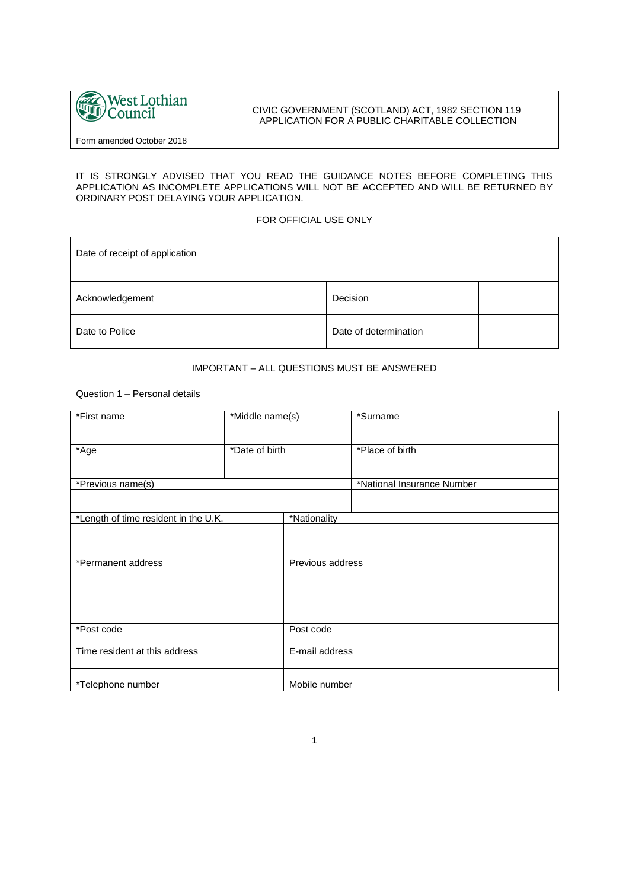

# CIVIC GOVERNMENT (SCOTLAND) ACT, 1982 SECTION 119 APPLICATION FOR A PUBLIC CHARITABLE COLLECTION

Form amended October 2018

#### IT IS STRONGLY ADVISED THAT YOU READ THE GUIDANCE NOTES BEFORE COMPLETING THIS APPLICATION AS INCOMPLETE APPLICATIONS WILL NOT BE ACCEPTED AND WILL BE RETURNED BY ORDINARY POST DELAYING YOUR APPLICATION.

# FOR OFFICIAL USE ONLY

| Date of receipt of application |                       |  |
|--------------------------------|-----------------------|--|
| Acknowledgement                | Decision              |  |
| Date to Police                 | Date of determination |  |

# IMPORTANT – ALL QUESTIONS MUST BE ANSWERED

Question 1 – Personal details

| *First name                          | *Middle name(s) |                  | *Surname                   |
|--------------------------------------|-----------------|------------------|----------------------------|
|                                      |                 |                  |                            |
| *Age                                 | *Date of birth  |                  | *Place of birth            |
|                                      |                 |                  |                            |
|                                      |                 |                  |                            |
| *Previous name(s)                    |                 |                  | *National Insurance Number |
|                                      |                 |                  |                            |
| *Length of time resident in the U.K. |                 | *Nationality     |                            |
|                                      |                 |                  |                            |
| *Permanent address                   |                 | Previous address |                            |
|                                      |                 |                  |                            |
|                                      |                 |                  |                            |
| *Post code                           |                 | Post code        |                            |
| Time resident at this address        |                 | E-mail address   |                            |
| *Telephone number                    |                 | Mobile number    |                            |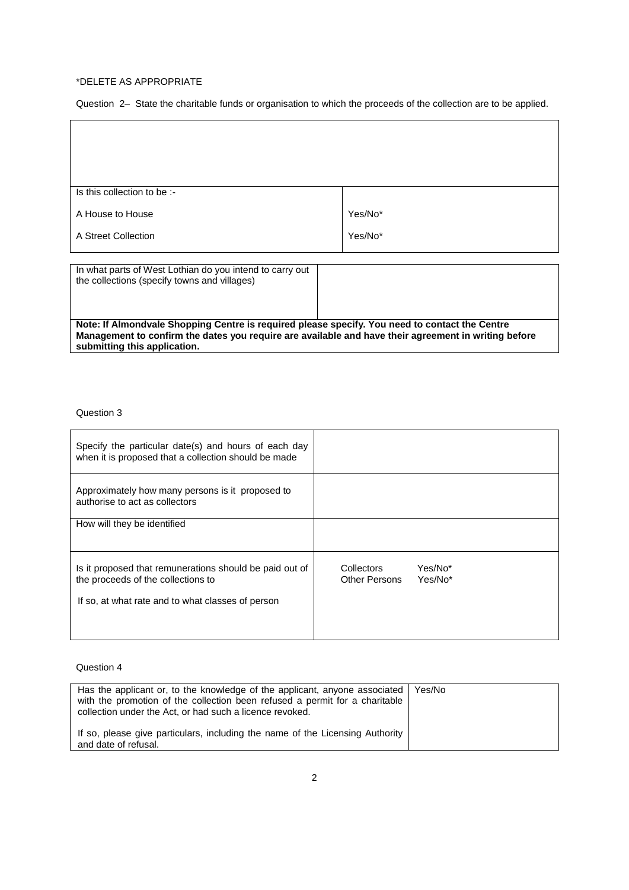### \*DELETE AS APPROPRIATE

 $\overline{1}$ 

Question 2– State the charitable funds or organisation to which the proceeds of the collection are to be applied.

 $\overline{\phantom{a}}$ 

| Is this collection to be :-                                                                              |         |
|----------------------------------------------------------------------------------------------------------|---------|
|                                                                                                          |         |
| A House to House                                                                                         | Yes/No* |
| A Street Collection                                                                                      | Yes/No* |
|                                                                                                          |         |
| In what parts of West Lothian do you intend to carry out<br>the collections (specify towns and villages) |         |
|                                                                                                          |         |

**Note: If Almondvale Shopping Centre is required please specify. You need to contact the Centre Management to confirm the dates you require are available and have their agreement in writing before submitting this application.**

# Question 3

| Specify the particular date(s) and hours of each day<br>when it is proposed that a collection should be made                                       |                                                          |
|----------------------------------------------------------------------------------------------------------------------------------------------------|----------------------------------------------------------|
| Approximately how many persons is it proposed to<br>authorise to act as collectors                                                                 |                                                          |
| How will they be identified                                                                                                                        |                                                          |
| Is it proposed that remunerations should be paid out of<br>the proceeds of the collections to<br>If so, at what rate and to what classes of person | Collectors<br>Yes/No*<br>Yes/No*<br><b>Other Persons</b> |
|                                                                                                                                                    |                                                          |

### Question 4

| Has the applicant or, to the knowledge of the applicant, anyone associated<br>with the promotion of the collection been refused a permit for a charitable<br>collection under the Act, or had such a licence revoked. | Yes/No |
|-----------------------------------------------------------------------------------------------------------------------------------------------------------------------------------------------------------------------|--------|
| If so, please give particulars, including the name of the Licensing Authority<br>and date of refusal.                                                                                                                 |        |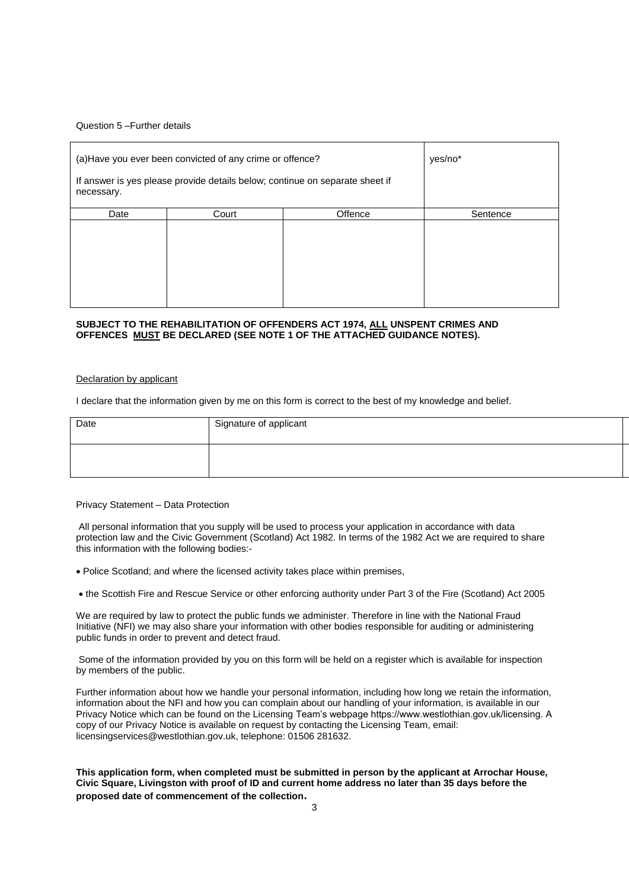### Question 5 –Further details

| necessary. | (a) Have you ever been convicted of any crime or offence?<br>If answer is yes please provide details below; continue on separate sheet if |         | yes/no*  |
|------------|-------------------------------------------------------------------------------------------------------------------------------------------|---------|----------|
| Date       | Court                                                                                                                                     | Offence | Sentence |
|            |                                                                                                                                           |         |          |

#### **SUBJECT TO THE REHABILITATION OF OFFENDERS ACT 1974, ALL UNSPENT CRIMES AND OFFENCES MUST BE DECLARED (SEE NOTE 1 OF THE ATTACHED GUIDANCE NOTES).**

#### Declaration by applicant

I declare that the information given by me on this form is correct to the best of my knowledge and belief.

| Date | Signature of applicant |
|------|------------------------|
|      |                        |

### Privacy Statement – Data Protection

All personal information that you supply will be used to process your application in accordance with data protection law and the Civic Government (Scotland) Act 1982. In terms of the 1982 Act we are required to share this information with the following bodies:-

- Police Scotland; and where the licensed activity takes place within premises,
- the Scottish Fire and Rescue Service or other enforcing authority under Part 3 of the Fire (Scotland) Act 2005

We are required by law to protect the public funds we administer. Therefore in line with the National Fraud Initiative (NFI) we may also share your information with other bodies responsible for auditing or administering public funds in order to prevent and detect fraud.

Some of the information provided by you on this form will be held on a register which is available for inspection by members of the public.

Further information about how we handle your personal information, including how long we retain the information, information about the NFI and how you can complain about our handling of your information, is available in our Privacy Notice which can be found on the Licensing Team's webpage https://www.westlothian.gov.uk/licensing. A copy of our Privacy Notice is available on request by contacting the Licensing Team, email: licensingservices@westlothian.gov.uk, telephone: 01506 281632.

### **This application form, when completed must be submitted in person by the applicant at Arrochar House, Civic Square, Livingston with proof of ID and current home address no later than 35 days before the proposed date of commencement of the collection.**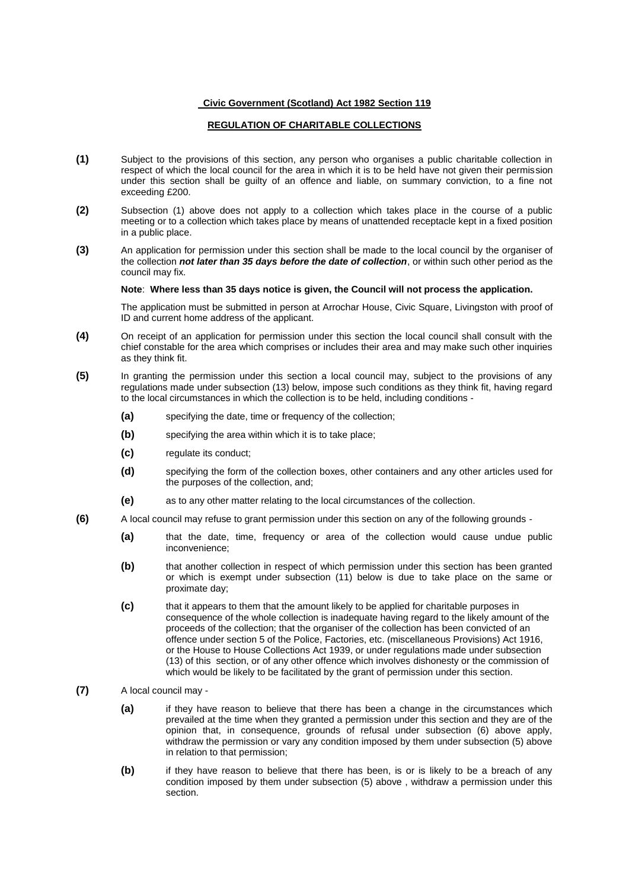### **Civic Government (Scotland) Act 1982 Section 119**

# **REGULATION OF CHARITABLE COLLECTIONS**

- **(1)** Subject to the provisions of this section, any person who organises a public charitable collection in respect of which the local council for the area in which it is to be held have not given their permission under this section shall be guilty of an offence and liable, on summary conviction, to a fine not exceeding £200.
- **(2)** Subsection (1) above does not apply to a collection which takes place in the course of a public meeting or to a collection which takes place by means of unattended receptacle kept in a fixed position in a public place.
- **(3)** An application for permission under this section shall be made to the local council by the organiser of the collection *not later than 35 days before the date of collection*, or within such other period as the council may fix.

### **Note**: **Where less than 35 days notice is given, the Council will not process the application.**

The application must be submitted in person at Arrochar House, Civic Square, Livingston with proof of ID and current home address of the applicant.

- **(4)** On receipt of an application for permission under this section the local council shall consult with the chief constable for the area which comprises or includes their area and may make such other inquiries as they think fit.
- **(5)** In granting the permission under this section a local council may, subject to the provisions of any regulations made under subsection (13) below, impose such conditions as they think fit, having regard to the local circumstances in which the collection is to be held, including conditions -
	- **(a)** specifying the date, time or frequency of the collection;
	- **(b)** specifying the area within which it is to take place;
	- **(c)** regulate its conduct;
	- **(d)** specifying the form of the collection boxes, other containers and any other articles used for the purposes of the collection, and;
	- **(e)** as to any other matter relating to the local circumstances of the collection.
- **(6)** A local council may refuse to grant permission under this section on any of the following grounds
	- **(a)** that the date, time, frequency or area of the collection would cause undue public inconvenience;
	- **(b)** that another collection in respect of which permission under this section has been granted or which is exempt under subsection (11) below is due to take place on the same or proximate day;
	- **(c)** that it appears to them that the amount likely to be applied for charitable purposes in consequence of the whole collection is inadequate having regard to the likely amount of the proceeds of the collection; that the organiser of the collection has been convicted of an offence under section 5 of the Police, Factories, etc. (miscellaneous Provisions) Act 1916, or the House to House Collections Act 1939, or under regulations made under subsection (13) of this section, or of any other offence which involves dishonesty or the commission of which would be likely to be facilitated by the grant of permission under this section.
- **(7)** A local council may
	- **(a)** if they have reason to believe that there has been a change in the circumstances which prevailed at the time when they granted a permission under this section and they are of the opinion that, in consequence, grounds of refusal under subsection (6) above apply, withdraw the permission or vary any condition imposed by them under subsection (5) above in relation to that permission;
	- **(b)** if they have reason to believe that there has been, is or is likely to be a breach of any condition imposed by them under subsection (5) above , withdraw a permission under this section.